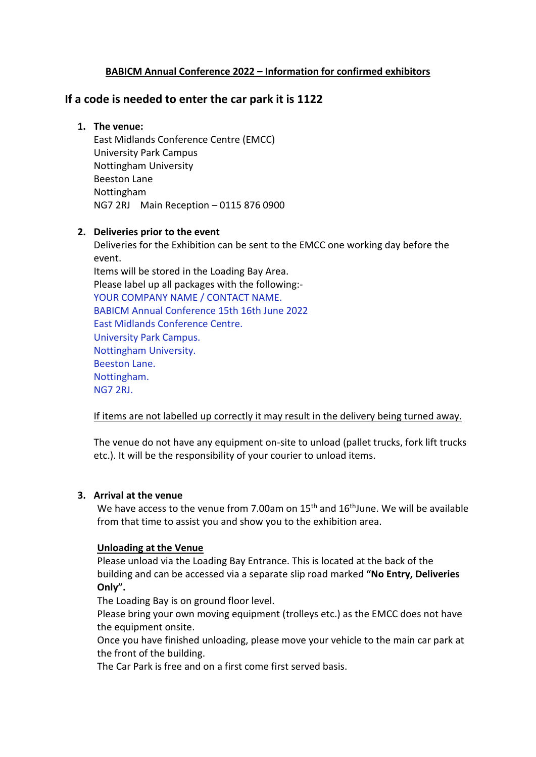# **BABICM Annual Conference 2022 – Information for confirmed exhibitors**

# **If a code is needed to enter the car park it is 1122**

## **1. The venue:**

East Midlands Conference Centre (EMCC) University Park Campus Nottingham University Beeston Lane Nottingham NG7 2RJ Main Reception – 0115 876 0900

## **2. Deliveries prior to the event**

Deliveries for the Exhibition can be sent to the EMCC one working day before the event.

Items will be stored in the Loading Bay Area. Please label up all packages with the following:- YOUR COMPANY NAME / CONTACT NAME. BABICM Annual Conference 15th 16th June 2022 East Midlands Conference Centre. University Park Campus. Nottingham University. Beeston Lane. Nottingham. NG7 2RJ.

## If items are not labelled up correctly it may result in the delivery being turned away.

The venue do not have any equipment on-site to unload (pallet trucks, fork lift trucks etc.). It will be the responsibility of your courier to unload items.

#### **3. Arrival at the venue**

We have access to the venue from 7.00am on 15<sup>th</sup> and 16<sup>th</sup> June. We will be available from that time to assist you and show you to the exhibition area.

#### **Unloading at the Venue**

Please unload via the Loading Bay Entrance. This is located at the back of the building and can be accessed via a separate slip road marked **"No Entry, Deliveries Only".**

The Loading Bay is on ground floor level.

Please bring your own moving equipment (trolleys etc.) as the EMCC does not have the equipment onsite.

Once you have finished unloading, please move your vehicle to the main car park at the front of the building.

The Car Park is free and on a first come first served basis.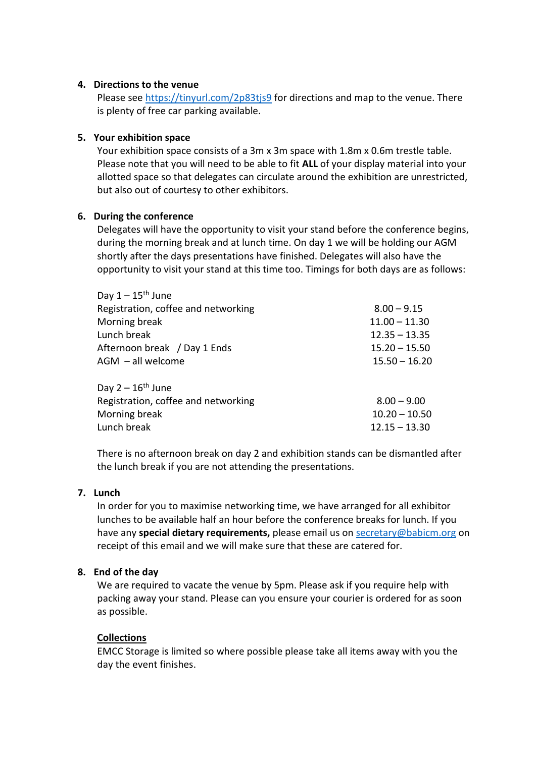#### **4. Directions to the venue**

Please see<https://tinyurl.com/2p83tjs9> for directions and map to the venue. There is plenty of free car parking available.

## **5. Your exhibition space**

Your exhibition space consists of a 3m x 3m space with 1.8m x 0.6m trestle table. Please note that you will need to be able to fit **ALL** of your display material into your allotted space so that delegates can circulate around the exhibition are unrestricted, but also out of courtesy to other exhibitors.

## **6. During the conference**

 $\overline{a}$   $\overline{a}$   $\overline{b}$   $\overline{c}$   $\overline{d}$   $\overline{d}$   $\overline{d}$   $\overline{d}$   $\overline{d}$   $\overline{d}$   $\overline{d}$   $\overline{d}$   $\overline{d}$   $\overline{d}$   $\overline{d}$   $\overline{d}$   $\overline{d}$   $\overline{d}$   $\overline{d}$   $\overline{d}$   $\overline{d}$   $\overline{d}$   $\overline{d}$   $\overline{d}$   $\overline{$ 

Delegates will have the opportunity to visit your stand before the conference begins, during the morning break and at lunch time. On day 1 we will be holding our AGM shortly after the days presentations have finished. Delegates will also have the opportunity to visit your stand at this time too. Timings for both days are as follows:

| Day $1 - 15$ " June                 |                 |
|-------------------------------------|-----------------|
| Registration, coffee and networking | $8.00 - 9.15$   |
| Morning break                       | $11.00 - 11.30$ |
| Lunch break                         | $12.35 - 13.35$ |
| Afternoon break / Day 1 Ends        | $15.20 - 15.50$ |
| $AGM - all$ welcome                 | $15.50 - 16.20$ |
| Day $2 - 16$ <sup>th</sup> June     |                 |
| Registration, coffee and networking | $8.00 - 9.00$   |
| Morning break                       | $10.20 - 10.50$ |
| Lunch break                         | $12.15 - 13.30$ |

There is no afternoon break on day 2 and exhibition stands can be dismantled after the lunch break if you are not attending the presentations.

#### **7. Lunch**

In order for you to maximise networking time, we have arranged for all exhibitor lunches to be available half an hour before the conference breaks for lunch. If you have any **special dietary requirements,** please email us on [secretary@babicm.org](mailto:secretary@babicm.org) on receipt of this email and we will make sure that these are catered for.

#### **8. End of the day**

We are required to vacate the venue by 5pm. Please ask if you require help with packing away your stand. Please can you ensure your courier is ordered for as soon as possible.

#### **Collections**

EMCC Storage is limited so where possible please take all items away with you the day the event finishes.